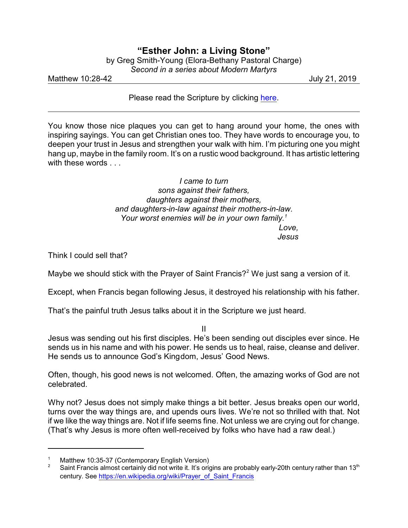## **"Esther John: a Living Stone"** by Greg Smith-Young (Elora-Bethany Pastoral Charge)

*Second in a series about Modern Martyrs*

Matthew 10:28-42 July 21, 2019

Please read the Scripture by clicking [here](https://www.biblegateway.com/passage/?search=Matthew+10%3A28-39&version=CEB).

You know those nice plaques you can get to hang around your home, the ones with inspiring sayings. You can get Christian ones too. They have words to encourage you, to deepen your trust in Jesus and strengthen your walk with him. I'm picturing one you might hang up, maybe in the family room. It's on a rustic wood background. It has artistic lettering with these words . . .

> *I came to turn sons against their fathers, daughters against their mothers, and daughters-in-law against their mothers-in-law. Your worst enemies will be in your own family.<sup>1</sup> Love, Jesus*

Think I could sell that?

Maybe we should stick with the Prayer of Saint Francis?<sup>2</sup> We just sang a version of it.

Except, when Francis began following Jesus, it destroyed his relationship with his father.

That's the painful truth Jesus talks about it in the Scripture we just heard.

II

Jesus was sending out his first disciples. He's been sending out disciples ever since. He sends us in his name and with his power. He sends us to heal, raise, cleanse and deliver. He sends us to announce God's Kingdom, Jesus' Good News.

Often, though, his good news is not welcomed. Often, the amazing works of God are not celebrated.

Why not? Jesus does not simply make things a bit better. Jesus breaks open our world, turns over the way things are, and upends ours lives. We're not so thrilled with that. Not if we like the way things are. Not if life seems fine. Not unless we are crying out for change. (That's why Jesus is more often well-received by folks who have had a raw deal.)

<sup>&</sup>lt;sup>1</sup> Matthew 10:35-37 (Contemporary English Version)<br><sup>2</sup> Saint Francis almost certainly did not write it It's orig

Saint Francis almost certainly did not write it. It's origins are probably early-20th century rather than 13<sup>th</sup> century. See [https://en.wikipedia.org/wiki/Prayer\\_of\\_Saint\\_Francis](https://en.wikipedia.org/wiki/Prayer_of_Saint_Francis)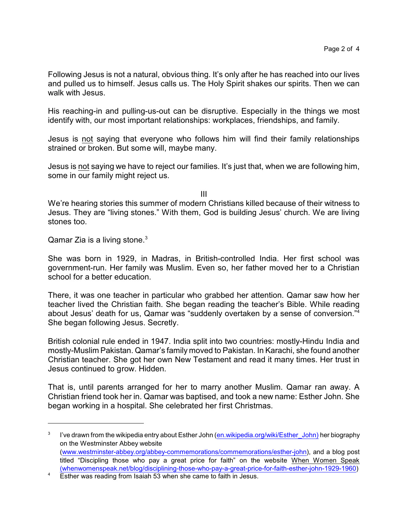Following Jesus is not a natural, obvious thing. It's only after he has reached into our lives and pulled us to himself. Jesus calls us. The Holy Spirit shakes our spirits. Then we can walk with Jesus.

His reaching-in and pulling-us-out can be disruptive. Especially in the things we most identify with, our most important relationships: workplaces, friendships, and family.

Jesus is not saying that everyone who follows him will find their family relationships strained or broken. But some will, maybe many.

Jesus is not saying we have to reject our families. It's just that, when we are following him, some in our family might reject us.

III

We're hearing stories this summer of modern Christians killed because of their witness to Jesus. They are "living stones." With them, God is building Jesus' church. We are living stones too.

Qamar Zia is a living stone. $3$ 

She was born in 1929, in Madras, in British-controlled India. Her first school was government-run. Her family was Muslim. Even so, her father moved her to a Christian school for a better education.

There, it was one teacher in particular who grabbed her attention. Qamar saw how her teacher lived the Christian faith. She began reading the teacher's Bible. While reading about Jesus' death for us, Qamar was "suddenly overtaken by a sense of conversion."<sup>4</sup> She began following Jesus. Secretly.

British colonial rule ended in 1947. India split into two countries: mostly-Hindu India and mostly-Muslim Pakistan. Qamar's family moved to Pakistan. In Karachi, she found another Christian teacher. She got her own New Testament and read it many times. Her trust in Jesus continued to grow. Hidden.

That is, until parents arranged for her to marry another Muslim. Qamar ran away. A Christian friend took her in. Qamar was baptised, and took a new name: Esther John. She began working in a hospital. She celebrated her first Christmas.

<sup>3</sup> I've drawn from the wikipedia entry about Esther John [\(en.wikipedia.org/wiki/Esther\\_John\)]((https://en.wikipedia.org/wiki/Esther_John) her biography on the Westminster Abbey website [\(www.westminster-abbey.org/abbey-commemorations/commemorations/esther-john](https://www.westminster-abbey.org/abbey-commemorations/commemorations/esther-john)), and a blog post titled "Discipling those who pay a great price for faith" on the website When Women Speak [\(whenwomenspeak.net/blog/disciplining-those-who-pay-a-great-price-for-faith-esther-john-1929-1960](https://whenwomenspeak.net/blog/disciplining-those-who-pay-a-great-price-for-faith-esther-john-1929-1960/))

<sup>&</sup>lt;sup>4</sup> Esther was reading from Isaiah 53 when she came to faith in Jesus.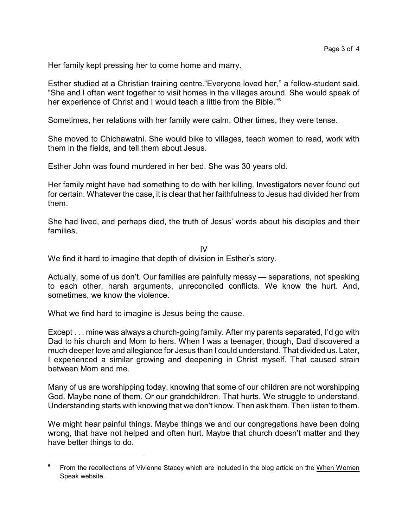Her family kept pressing her to come home and marry.

Esther studied at a Christian training centre."Everyone loved her," a fellow-student said. "She and I often went together to visit homes in the villages around. She would speak of her experience of Christ and I would teach a little from the Bible."<sup>5</sup>

Sometimes, her relations with her family were calm. Other times, they were tense.

She moved to Chichawatni. She would bike to villages, teach women to read, work with them in the fields, and tell them about Jesus.

Esther John was found murdered in her bed. She was 30 years old.

Her family might have had something to do with her killing. Investigators never found out for certain. Whatever the case, it is clear that her faithfulness to Jesus had divided her from them.

She had lived, and perhaps died, the truth of Jesus' words about his disciples and their families.

IV

We find it hard to imagine that depth of division in Esther's story.

Actually, some of us don't. Our families are painfully messy — separations, not speaking to each other, harsh arguments, unreconciled conflicts. We know the hurt. And, sometimes, we know the violence.

What we find hard to imagine is Jesus being the cause.

Except . . . mine was always a church-going family. After my parents separated, I'd go with Dad to his church and Mom to hers. When I was a teenager, though, Dad discovered a much deeper love and allegiance for Jesus than I could understand. That divided us. Later, I experienced a similar growing and deepening in Christ myself. That caused strain between Mom and me.

Many of us are worshipping today, knowing that some of our children are not worshipping God. Maybe none of them. Or our grandchildren. That hurts. We struggle to understand. Understanding starts with knowing that we don't know. Then ask them. Then listen to them.

We might hear painful things. Maybe things we and our congregations have been doing wrong, that have not helped and often hurt. Maybe that church doesn't matter and they have better things to do.

<sup>&</sup>lt;sup>5</sup> From the recollections of Vivienne Stacey which are included in the blog article on the When Women Speak website.